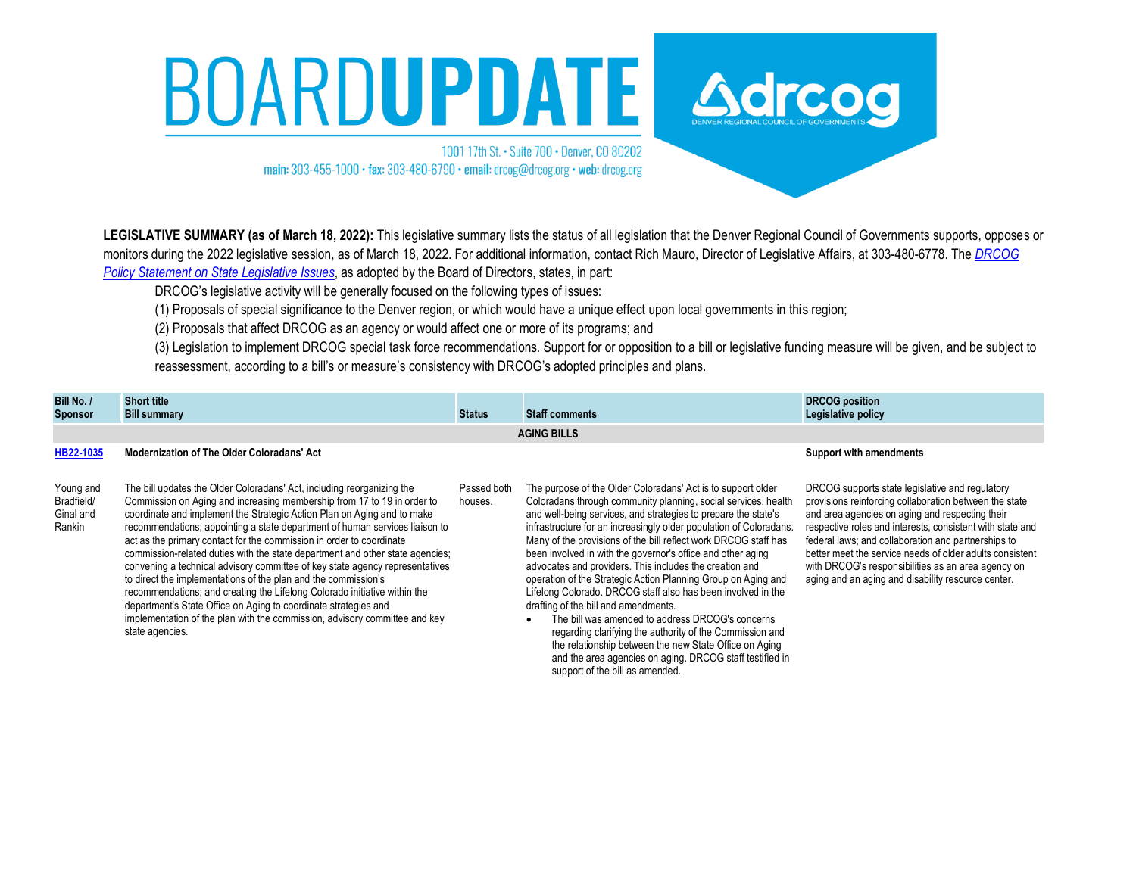## BOARDUPDATE Adresse

1001 17th St. • Suite 700 • Denver, CO 80202 main: 303-455-1000 · fax: 303-480-6790 · email: drcog@drcog.org · web: drcog.org



DRCOG's legislative activity will be generally focused on the following types of issues:

(1) Proposals of special significance to the Denver region, or which would have a unique effect upon local governments in this region;

(2) Proposals that affect DRCOG as an agency or would affect one or more of its programs; and

(3) Legislation to implement DRCOG special task force recommendations. Support for or opposition to a bill or legislative funding measure will be given, and be subject to reassessment, according to a bill's or measure's consistency with DRCOG's adopted principles and plans.

support of the bill as amended.

| Bill No. /<br>Sponsor                          | <b>Short title</b><br><b>Bill summary</b>                                                                                                                                                                                                                                                                                                                                                                                                                                                                                                                                                                                                                                                                                                                                                                                                                               | <b>Status</b>          | <b>Staff comments</b>                                                                                                                                                                                                                                                                                                                                                                                                                                                                                                                                                                                                                                                                                                                                                                                                                                                              | <b>DRCOG position</b><br>Legislative policy                                                                                                                                                                                                                                                                                                                                                                                                              |  |  |
|------------------------------------------------|-------------------------------------------------------------------------------------------------------------------------------------------------------------------------------------------------------------------------------------------------------------------------------------------------------------------------------------------------------------------------------------------------------------------------------------------------------------------------------------------------------------------------------------------------------------------------------------------------------------------------------------------------------------------------------------------------------------------------------------------------------------------------------------------------------------------------------------------------------------------------|------------------------|------------------------------------------------------------------------------------------------------------------------------------------------------------------------------------------------------------------------------------------------------------------------------------------------------------------------------------------------------------------------------------------------------------------------------------------------------------------------------------------------------------------------------------------------------------------------------------------------------------------------------------------------------------------------------------------------------------------------------------------------------------------------------------------------------------------------------------------------------------------------------------|----------------------------------------------------------------------------------------------------------------------------------------------------------------------------------------------------------------------------------------------------------------------------------------------------------------------------------------------------------------------------------------------------------------------------------------------------------|--|--|
|                                                | <b>AGING BILLS</b>                                                                                                                                                                                                                                                                                                                                                                                                                                                                                                                                                                                                                                                                                                                                                                                                                                                      |                        |                                                                                                                                                                                                                                                                                                                                                                                                                                                                                                                                                                                                                                                                                                                                                                                                                                                                                    |                                                                                                                                                                                                                                                                                                                                                                                                                                                          |  |  |
| HB22-1035                                      | <b>Modernization of The Older Coloradans' Act</b>                                                                                                                                                                                                                                                                                                                                                                                                                                                                                                                                                                                                                                                                                                                                                                                                                       |                        |                                                                                                                                                                                                                                                                                                                                                                                                                                                                                                                                                                                                                                                                                                                                                                                                                                                                                    | <b>Support with amendments</b>                                                                                                                                                                                                                                                                                                                                                                                                                           |  |  |
| Young and<br>Bradfield/<br>Ginal and<br>Rankin | The bill updates the Older Coloradans' Act, including reorganizing the<br>Commission on Aging and increasing membership from 17 to 19 in order to<br>coordinate and implement the Strategic Action Plan on Aging and to make<br>recommendations; appointing a state department of human services liaison to<br>act as the primary contact for the commission in order to coordinate<br>commission-related duties with the state department and other state agencies;<br>convening a technical advisory committee of key state agency representatives<br>to direct the implementations of the plan and the commission's<br>recommendations; and creating the Lifelong Colorado initiative within the<br>department's State Office on Aging to coordinate strategies and<br>implementation of the plan with the commission, advisory committee and key<br>state agencies. | Passed both<br>houses. | The purpose of the Older Coloradans' Act is to support older<br>Coloradans through community planning, social services, health<br>and well-being services, and strategies to prepare the state's<br>infrastructure for an increasingly older population of Coloradans.<br>Many of the provisions of the bill reflect work DRCOG staff has<br>been involved in with the governor's office and other aging<br>advocates and providers. This includes the creation and<br>operation of the Strategic Action Planning Group on Aging and<br>Lifelong Colorado. DRCOG staff also has been involved in the<br>drafting of the bill and amendments.<br>The bill was amended to address DRCOG's concerns<br>regarding clarifying the authority of the Commission and<br>the relationship between the new State Office on Aging<br>and the area agencies on aging. DRCOG staff testified in | DRCOG supports state legislative and regulatory<br>provisions reinforcing collaboration between the state<br>and area agencies on aging and respecting their<br>respective roles and interests, consistent with state and<br>federal laws; and collaboration and partnerships to<br>better meet the service needs of older adults consistent<br>with DRCOG's responsibilities as an area agency on<br>aging and an aging and disability resource center. |  |  |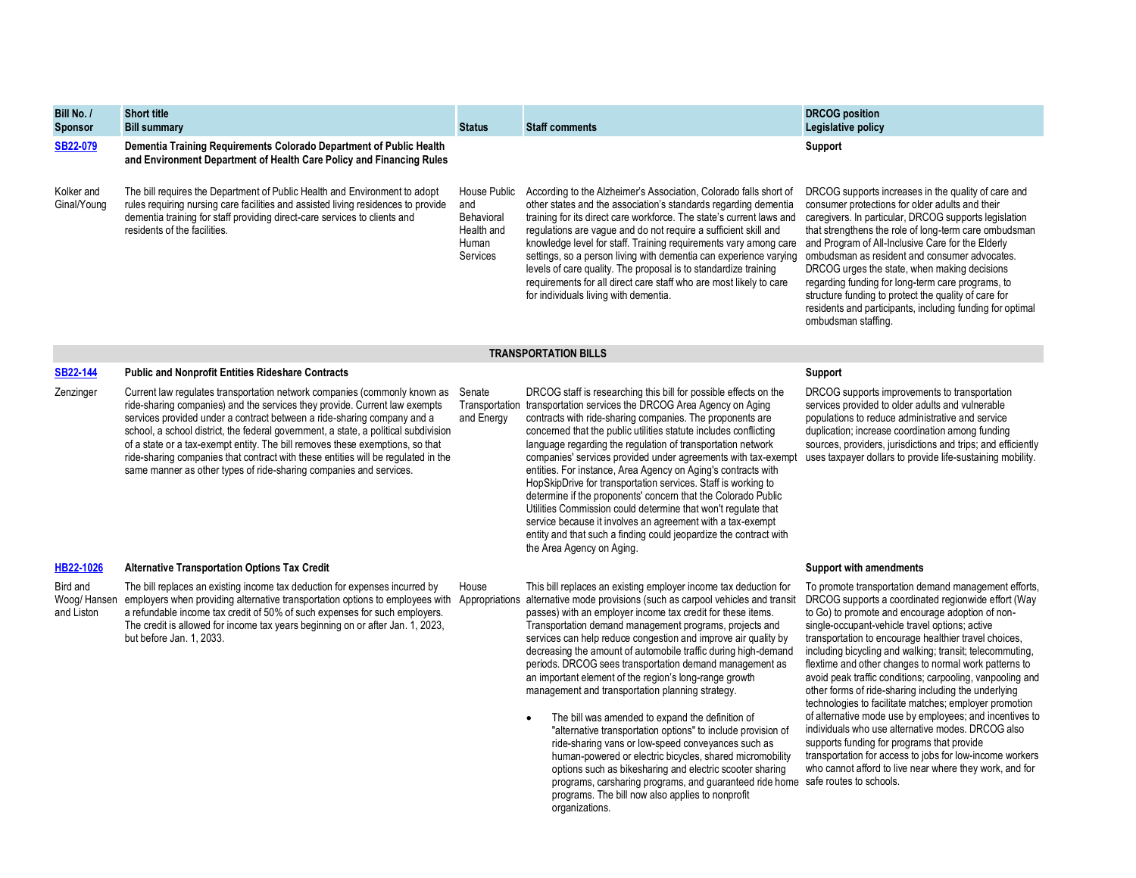| Bill No. /<br><b>Sponsor</b>          | <b>Short title</b><br><b>Bill summary</b>                                                                                                                                                                                                                                                                                                                                                                                                                                                                                                                                    | <b>Status</b>                                                               | <b>Staff comments</b>                                                                                                                                                                                                                                                                                                                                                                                                                                                                                                                                                                                                                                                                                                                                                                                                                          | <b>DRCOG</b> position<br>Legislative policy                                                                                                                                                                                                                                                                                                                                                                                                                                                                                                                                                                                                                                                    |
|---------------------------------------|------------------------------------------------------------------------------------------------------------------------------------------------------------------------------------------------------------------------------------------------------------------------------------------------------------------------------------------------------------------------------------------------------------------------------------------------------------------------------------------------------------------------------------------------------------------------------|-----------------------------------------------------------------------------|------------------------------------------------------------------------------------------------------------------------------------------------------------------------------------------------------------------------------------------------------------------------------------------------------------------------------------------------------------------------------------------------------------------------------------------------------------------------------------------------------------------------------------------------------------------------------------------------------------------------------------------------------------------------------------------------------------------------------------------------------------------------------------------------------------------------------------------------|------------------------------------------------------------------------------------------------------------------------------------------------------------------------------------------------------------------------------------------------------------------------------------------------------------------------------------------------------------------------------------------------------------------------------------------------------------------------------------------------------------------------------------------------------------------------------------------------------------------------------------------------------------------------------------------------|
| <b>SB22-079</b>                       | Dementia Training Requirements Colorado Department of Public Health<br>and Environment Department of Health Care Policy and Financing Rules                                                                                                                                                                                                                                                                                                                                                                                                                                  |                                                                             |                                                                                                                                                                                                                                                                                                                                                                                                                                                                                                                                                                                                                                                                                                                                                                                                                                                | Support                                                                                                                                                                                                                                                                                                                                                                                                                                                                                                                                                                                                                                                                                        |
| Kolker and<br>Ginal/Young             | The bill requires the Department of Public Health and Environment to adopt<br>rules requiring nursing care facilities and assisted living residences to provide<br>dementia training for staff providing direct-care services to clients and<br>residents of the facilities.                                                                                                                                                                                                                                                                                                 | House Public<br>and<br>Behavioral<br>Health and<br>Human<br><b>Services</b> | According to the Alzheimer's Association, Colorado falls short of<br>other states and the association's standards regarding dementia<br>training for its direct care workforce. The state's current laws and<br>regulations are vague and do not require a sufficient skill and<br>knowledge level for staff. Training requirements vary among care<br>settings, so a person living with dementia can experience varying<br>levels of care quality. The proposal is to standardize training<br>requirements for all direct care staff who are most likely to care<br>for individuals living with dementia.                                                                                                                                                                                                                                     | DRCOG supports increases in the quality of care and<br>consumer protections for older adults and their<br>caregivers. In particular, DRCOG supports legislation<br>that strengthens the role of long-term care ombudsman<br>and Program of All-Inclusive Care for the Elderly<br>ombudsman as resident and consumer advocates.<br>DRCOG urges the state, when making decisions<br>regarding funding for long-term care programs, to<br>structure funding to protect the quality of care for<br>residents and participants, including funding for optimal<br>ombudsman staffing.                                                                                                                |
|                                       |                                                                                                                                                                                                                                                                                                                                                                                                                                                                                                                                                                              |                                                                             | <b>TRANSPORTATION BILLS</b>                                                                                                                                                                                                                                                                                                                                                                                                                                                                                                                                                                                                                                                                                                                                                                                                                    |                                                                                                                                                                                                                                                                                                                                                                                                                                                                                                                                                                                                                                                                                                |
| <b>SB22-144</b>                       | <b>Public and Nonprofit Entities Rideshare Contracts</b>                                                                                                                                                                                                                                                                                                                                                                                                                                                                                                                     |                                                                             |                                                                                                                                                                                                                                                                                                                                                                                                                                                                                                                                                                                                                                                                                                                                                                                                                                                | Support                                                                                                                                                                                                                                                                                                                                                                                                                                                                                                                                                                                                                                                                                        |
| Zenzinger                             | Current law regulates transportation network companies (commonly known as Senate<br>ride-sharing companies) and the services they provide. Current law exempts<br>services provided under a contract between a ride-sharing company and a<br>school, a school district, the federal government, a state, a political subdivision<br>of a state or a tax-exempt entity. The bill removes these exemptions, so that<br>ride-sharing companies that contract with these entities will be regulated in the<br>same manner as other types of ride-sharing companies and services. | and Energy                                                                  | DRCOG staff is researching this bill for possible effects on the<br>Transportation transportation services the DRCOG Area Agency on Aging<br>contracts with ride-sharing companies. The proponents are<br>concerned that the public utilities statute includes conflicting<br>language regarding the regulation of transportation network<br>companies' services provided under agreements with tax-exempt<br>entities. For instance, Area Agency on Aging's contracts with<br>HopSkipDrive for transportation services. Staff is working to<br>determine if the proponents' concern that the Colorado Public<br>Utilities Commission could determine that won't regulate that<br>service because it involves an agreement with a tax-exempt<br>entity and that such a finding could jeopardize the contract with<br>the Area Agency on Aging. | DRCOG supports improvements to transportation<br>services provided to older adults and vulnerable<br>populations to reduce administrative and service<br>duplication; increase coordination among funding<br>sources, providers, jurisdictions and trips; and efficiently<br>uses taxpayer dollars to provide life-sustaining mobility.                                                                                                                                                                                                                                                                                                                                                        |
| HB22-1026                             | <b>Alternative Transportation Options Tax Credit</b>                                                                                                                                                                                                                                                                                                                                                                                                                                                                                                                         |                                                                             |                                                                                                                                                                                                                                                                                                                                                                                                                                                                                                                                                                                                                                                                                                                                                                                                                                                | <b>Support with amendments</b>                                                                                                                                                                                                                                                                                                                                                                                                                                                                                                                                                                                                                                                                 |
| Bird and<br>Woog/Hansen<br>and Liston | The bill replaces an existing income tax deduction for expenses incurred by<br>employers when providing alternative transportation options to employees with Appropriations alternative mode provisions (such as carpool vehicles and transit<br>a refundable income tax credit of 50% of such expenses for such employers.<br>The credit is allowed for income tax years beginning on or after Jan. 1, 2023,<br>but before Jan. 1, 2033.                                                                                                                                    | House                                                                       | This bill replaces an existing employer income tax deduction for<br>passes) with an employer income tax credit for these items.<br>Transportation demand management programs, projects and<br>services can help reduce congestion and improve air quality by<br>decreasing the amount of automobile traffic during high-demand<br>periods. DRCOG sees transportation demand management as<br>an important element of the region's long-range growth<br>management and transportation planning strategy.<br>The bill was amended to expand the definition of<br>"alternative transportation options" to include provision of                                                                                                                                                                                                                    | To promote transportation demand management efforts,<br>DRCOG supports a coordinated regionwide effort (Way<br>to Go) to promote and encourage adoption of non-<br>single-occupant-vehicle travel options; active<br>transportation to encourage healthier travel choices,<br>including bicycling and walking; transit; telecommuting,<br>flextime and other changes to normal work patterns to<br>avoid peak traffic conditions; carpooling, vanpooling and<br>other forms of ride-sharing including the underlying<br>technologies to facilitate matches; employer promotion<br>of alternative mode use by employees; and incentives to<br>individuals who use alternative modes. DRCOG also |

ride-sharing vans or low-speed conveyances such as human-powered or electric bicycles, shared micromobility options such as bikesharing and electric scooter sharing

programs. The bill now also applies to nonprofit

organizations.

programs, carsharing programs, and guaranteed ride home safe routes to schools.supports funding for programs that provide transportation for access to jobs for low-income workers who cannot afford to live near where they work, and for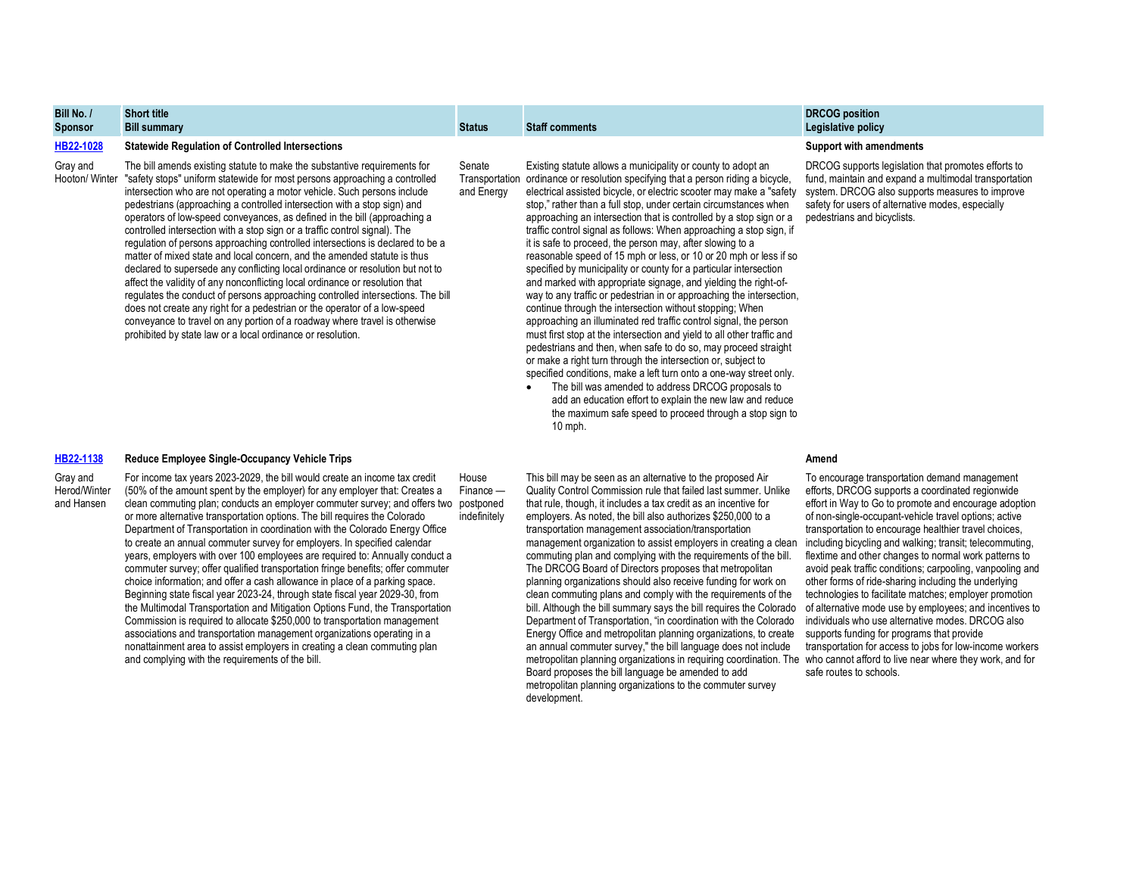| -----<br><b>Sponsor</b> | <b>VIIVIL LILIV</b><br><b>Bill summary</b>                                                                                                                            | <b>Status</b> | <b>Staff comments</b>                                                                                                                             | <b>PROPORTION</b><br>Legislative policy                                                                      |
|-------------------------|-----------------------------------------------------------------------------------------------------------------------------------------------------------------------|---------------|---------------------------------------------------------------------------------------------------------------------------------------------------|--------------------------------------------------------------------------------------------------------------|
| HB22-1028               | <b>Statewide Regulation of Controlled Intersections</b>                                                                                                               |               |                                                                                                                                                   | <b>Support with amendments</b>                                                                               |
| Grav and                | The bill amends existing statute to make the substantive requirements for<br>Hooton/Winter "safety stops" uniform statewide for most persons approaching a controlled | Senate        | Existing statute allows a municipality or county to adopt an<br>Transportation ordinance or resolution specifying that a person riding a bicycle, | DRCOG supports legislation that promotes efforts to<br>fund, maintain and expand a multimodal transportation |

and Energy

"safety stops" uniform statewide for most persons approaching a controlled intersection who are not operating a motor vehicle. Such persons include pedestrians (approaching a controlled intersection with a stop sign) and operators of low-speed conveyances, as defined in the bill (approaching a controlled intersection with a stop sign or a traffic control signal). The regulation of persons approaching controlled intersections is declared to be a matter of mixed state and local concern, and the amended statute is thus declared to supersede any conflicting local ordinance or resolution but not to affect the validity of any nonconflicting local ordinance or resolution that regulates the conduct of persons approaching controlled intersections. The bill does not create any right for a pedestrian or the operator of a low-speed conveyance to travel on any portion of a roadway where travel is otherwise prohibited by state law or a local ordinance or resolution.

## **[HB22-1138](https://leg.colorado.gov/sites/default/files/documents/2022A/bills/2022a_1138_01.pdf) Reduce Employee Single-Occupancy Vehicle Trips Amend**

Gray and Herod/Winter and Hansen

**Bill No. /**

**Short title**

For income tax years 2023-2029, the bill would create an income tax credit (50% of the amount spent by the employer) for any employer that: Creates a clean commuting plan; conducts an employer commuter survey; and offers two postponed or more alternative transportation options. The bill requires the Colorado Department of Transportation in coordination with the Colorado Energy Office to create an annual commuter survey for employers. In specified calendar years, employers with over 100 employees are required to: Annually conduct a commuter survey; offer qualified transportation fringe benefits; offer commuter choice information; and offer a cash allowance in place of a parking space. Beginning state fiscal year 2023-24, through state fiscal year 2029-30, from the Multimodal Transportation and Mitigation Options Fund, the Transportation Commission is required to allocate \$250,000 to transportation management associations and transportation management organizations operating in a nonattainment area to assist employers in creating a clean commuting plan and complying with the requirements of the bill. House Finance indefinitely

ordinance or resolution specifying that a person riding a bicycle, electrical assisted bicycle, or electric scooter may make a "safety stop," rather than a full stop, under certain circumstances when approaching an intersection that is controlled by a stop sign or a traffic control signal as follows: When approaching a stop sign, if it is safe to proceed, the person may, after slowing to a reasonable speed of 15 mph or less, or 10 or 20 mph or less if so specified by municipality or county for a particular intersection and marked with appropriate signage, and yielding the right-ofway to any traffic or pedestrian in or approaching the intersection. continue through the intersection without stopping; When approaching an illuminated red traffic control signal, the person must first stop at the intersection and yield to all other traffic and pedestrians and then, when safe to do so, may proceed straight or make a right turn through the intersection or, subject to specified conditions, make a left turn onto a one-way street only.

• The bill was amended to address DRCOG proposals to add an education effort to explain the new law and reduce the maximum safe speed to proceed through a stop sign to 10 mph.

This bill may be seen as an alternative to the proposed Air Quality Control Commission rule that failed last summer. Unlike that rule, though, it includes a tax credit as an incentive for employers. As noted, the bill also authorizes \$250,000 to a transportation management association/transportation management organization to assist employers in creating a clean commuting plan and complying with the requirements of the bill. The DRCOG Board of Directors proposes that metropolitan planning organizations should also receive funding for work on clean commuting plans and comply with the requirements of the bill. Although the bill summary says the bill requires the Colorado Department of Transportation, "in coordination with the Colorado Energy Office and metropolitan planning organizations, to create an annual commuter survey," the bill language does not include metropolitan planning organizations in requiring coordination. The who cannot afford to live near where they work, and for Board proposes the bill language be amended to add metropolitan planning organizations to the commuter survey development.

**DRCOG position** 

pedestrians and bicyclists.

To encourage transportation demand management efforts, DRCOG supports a coordinated regionwide effort in Way to Go to promote and encourage adoption of non-single-occupant-vehicle travel options; active transportation to encourage healthier travel choices, including bicycling and walking; transit; telecommuting, flextime and other changes to normal work patterns to avoid peak traffic conditions; carpooling, vanpooling and other forms of ride-sharing including the underlying technologies to facilitate matches; employer promotion of alternative mode use by employees; and incentives to individuals who use alternative modes. DRCOG also supports funding for programs that provide transportation for access to jobs for low-income workers safe routes to schools.

system. DRCOG also supports measures to improve safety for users of alternative modes, especially